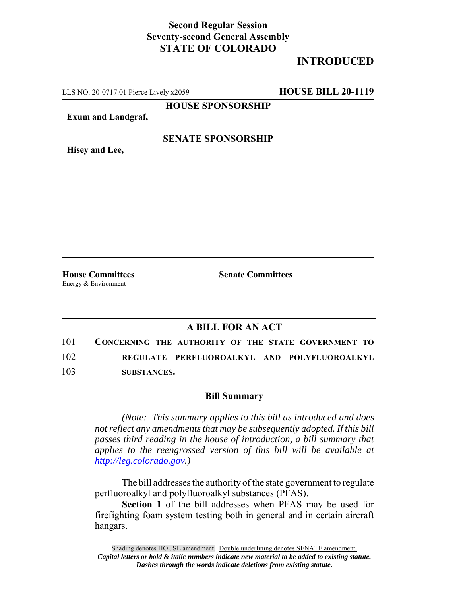## **Second Regular Session Seventy-second General Assembly STATE OF COLORADO**

# **INTRODUCED**

LLS NO. 20-0717.01 Pierce Lively x2059 **HOUSE BILL 20-1119**

**HOUSE SPONSORSHIP**

**Exum and Landgraf,**

#### **SENATE SPONSORSHIP**

**Hisey and Lee,**

Energy & Environment

**House Committees Senate Committees** 

### **A BILL FOR AN ACT**

101 **CONCERNING THE AUTHORITY OF THE STATE GOVERNMENT TO** 102 **REGULATE PERFLUOROALKYL AND POLYFLUOROALKYL** 103 **SUBSTANCES.**

#### **Bill Summary**

*(Note: This summary applies to this bill as introduced and does not reflect any amendments that may be subsequently adopted. If this bill passes third reading in the house of introduction, a bill summary that applies to the reengrossed version of this bill will be available at http://leg.colorado.gov.)*

The bill addresses the authority of the state government to regulate perfluoroalkyl and polyfluoroalkyl substances (PFAS).

**Section 1** of the bill addresses when PFAS may be used for firefighting foam system testing both in general and in certain aircraft hangars.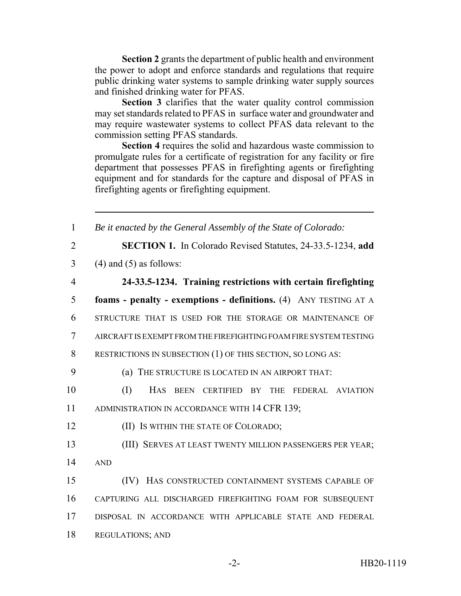**Section 2** grants the department of public health and environment the power to adopt and enforce standards and regulations that require public drinking water systems to sample drinking water supply sources and finished drinking water for PFAS.

**Section 3** clarifies that the water quality control commission may set standards related to PFAS in surface water and groundwater and may require wastewater systems to collect PFAS data relevant to the commission setting PFAS standards.

**Section 4** requires the solid and hazardous waste commission to promulgate rules for a certificate of registration for any facility or fire department that possesses PFAS in firefighting agents or firefighting equipment and for standards for the capture and disposal of PFAS in firefighting agents or firefighting equipment.

 *Be it enacted by the General Assembly of the State of Colorado:* **SECTION 1.** In Colorado Revised Statutes, 24-33.5-1234, **add**  $3 \qquad (4)$  and  $(5)$  as follows: **24-33.5-1234. Training restrictions with certain firefighting foams - penalty - exemptions - definitions.** (4) ANY TESTING AT A STRUCTURE THAT IS USED FOR THE STORAGE OR MAINTENANCE OF AIRCRAFT IS EXEMPT FROM THE FIREFIGHTING FOAM FIRE SYSTEM TESTING RESTRICTIONS IN SUBSECTION (1) OF THIS SECTION, SO LONG AS: (a) THE STRUCTURE IS LOCATED IN AN AIRPORT THAT: (I) HAS BEEN CERTIFIED BY THE FEDERAL AVIATION 11 ADMINISTRATION IN ACCORDANCE WITH 14 CFR 139; **(II) IS WITHIN THE STATE OF COLORADO;**  (III) SERVES AT LEAST TWENTY MILLION PASSENGERS PER YEAR; 14 AND (IV) HAS CONSTRUCTED CONTAINMENT SYSTEMS CAPABLE OF CAPTURING ALL DISCHARGED FIREFIGHTING FOAM FOR SUBSEQUENT DISPOSAL IN ACCORDANCE WITH APPLICABLE STATE AND FEDERAL REGULATIONS; AND

-2- HB20-1119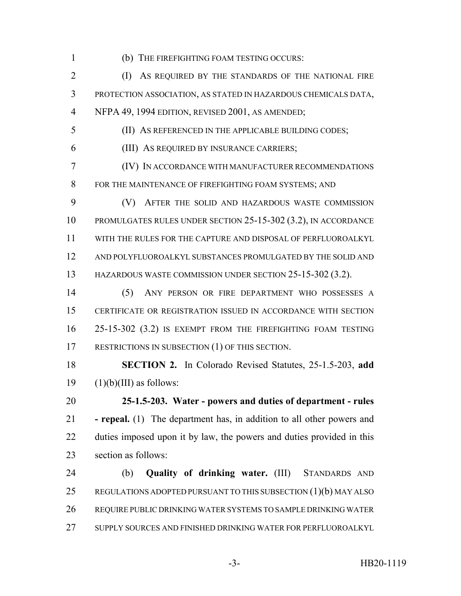(b) THE FIREFIGHTING FOAM TESTING OCCURS:

2 (I) AS REQUIRED BY THE STANDARDS OF THE NATIONAL FIRE PROTECTION ASSOCIATION, AS STATED IN HAZARDOUS CHEMICALS DATA, NFPA 49, 1994 EDITION, REVISED 2001, AS AMENDED;

(II) AS REFERENCED IN THE APPLICABLE BUILDING CODES;

(III) AS REQUIRED BY INSURANCE CARRIERS;

 (IV) IN ACCORDANCE WITH MANUFACTURER RECOMMENDATIONS 8 FOR THE MAINTENANCE OF FIREFIGHTING FOAM SYSTEMS; AND

 (V) AFTER THE SOLID AND HAZARDOUS WASTE COMMISSION PROMULGATES RULES UNDER SECTION 25-15-302 (3.2), IN ACCORDANCE WITH THE RULES FOR THE CAPTURE AND DISPOSAL OF PERFLUOROALKYL AND POLYFLUOROALKYL SUBSTANCES PROMULGATED BY THE SOLID AND HAZARDOUS WASTE COMMISSION UNDER SECTION 25-15-302 (3.2).

 (5) ANY PERSON OR FIRE DEPARTMENT WHO POSSESSES A CERTIFICATE OR REGISTRATION ISSUED IN ACCORDANCE WITH SECTION 25-15-302 (3.2) IS EXEMPT FROM THE FIREFIGHTING FOAM TESTING 17 RESTRICTIONS IN SUBSECTION (1) OF THIS SECTION.

 **SECTION 2.** In Colorado Revised Statutes, 25-1.5-203, **add** (1)(b)(III) as follows:

 **25-1.5-203. Water - powers and duties of department - rules - repeal.** (1) The department has, in addition to all other powers and duties imposed upon it by law, the powers and duties provided in this section as follows:

 (b) **Quality of drinking water.** (III) STANDARDS AND REGULATIONS ADOPTED PURSUANT TO THIS SUBSECTION (1)(b) MAY ALSO REQUIRE PUBLIC DRINKING WATER SYSTEMS TO SAMPLE DRINKING WATER SUPPLY SOURCES AND FINISHED DRINKING WATER FOR PERFLUOROALKYL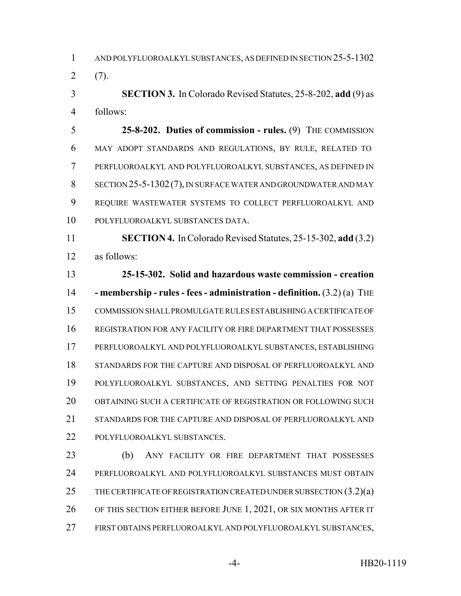AND POLYFLUOROALKYL SUBSTANCES, AS DEFINED IN SECTION 25-5-1302  $2(7)$ .

 **SECTION 3.** In Colorado Revised Statutes, 25-8-202, **add** (9) as follows:

 **25-8-202. Duties of commission - rules.** (9) THE COMMISSION MAY ADOPT STANDARDS AND REGULATIONS, BY RULE, RELATED TO PERFLUOROALKYL AND POLYFLUOROALKYL SUBSTANCES, AS DEFINED IN SECTION 25-5-1302(7), IN SURFACE WATER AND GROUNDWATER AND MAY REQUIRE WASTEWATER SYSTEMS TO COLLECT PERFLUOROALKYL AND POLYFLUOROALKYL SUBSTANCES DATA.

 **SECTION 4.** In Colorado Revised Statutes, 25-15-302, **add** (3.2) as follows:

 **25-15-302. Solid and hazardous waste commission - creation - membership - rules - fees - administration - definition.** (3.2) (a) THE COMMISSION SHALL PROMULGATE RULES ESTABLISHING A CERTIFICATE OF REGISTRATION FOR ANY FACILITY OR FIRE DEPARTMENT THAT POSSESSES PERFLUOROALKYL AND POLYFLUOROALKYL SUBSTANCES, ESTABLISHING STANDARDS FOR THE CAPTURE AND DISPOSAL OF PERFLUOROALKYL AND POLYFLUOROALKYL SUBSTANCES, AND SETTING PENALTIES FOR NOT OBTAINING SUCH A CERTIFICATE OF REGISTRATION OR FOLLOWING SUCH STANDARDS FOR THE CAPTURE AND DISPOSAL OF PERFLUOROALKYL AND POLYFLUOROALKYL SUBSTANCES.

 (b) ANY FACILITY OR FIRE DEPARTMENT THAT POSSESSES PERFLUOROALKYL AND POLYFLUOROALKYL SUBSTANCES MUST OBTAIN 25 THE CERTIFICATE OF REGISTRATION CREATED UNDER SUBSECTION  $(3.2)(a)$  OF THIS SECTION EITHER BEFORE JUNE 1, 2021, OR SIX MONTHS AFTER IT FIRST OBTAINS PERFLUOROALKYL AND POLYFLUOROALKYL SUBSTANCES,